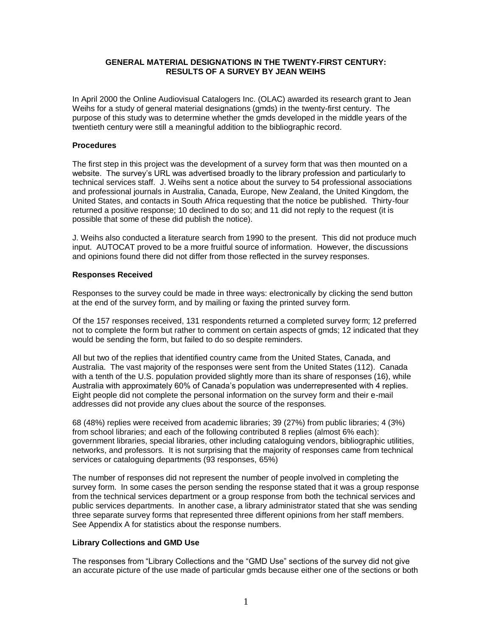#### **GENERAL MATERIAL DESIGNATIONS IN THE TWENTY-FIRST CENTURY: RESULTS OF A SURVEY BY JEAN WEIHS**

In April 2000 the Online Audiovisual Catalogers Inc. (OLAC) awarded its research grant to Jean Weihs for a study of general material designations (gmds) in the twenty-first century. The purpose of this study was to determine whether the gmds developed in the middle years of the twentieth century were still a meaningful addition to the bibliographic record.

#### **Procedures**

The first step in this project was the development of a survey form that was then mounted on a website. The survey's URL was advertised broadly to the library profession and particularly to technical services staff. J. Weihs sent a notice about the survey to 54 professional associations and professional journals in Australia, Canada, Europe, New Zealand, the United Kingdom, the United States, and contacts in South Africa requesting that the notice be published. Thirty-four returned a positive response; 10 declined to do so; and 11 did not reply to the request (it is possible that some of these did publish the notice).

J. Weihs also conducted a literature search from 1990 to the present. This did not produce much input. AUTOCAT proved to be a more fruitful source of information. However, the discussions and opinions found there did not differ from those reflected in the survey responses.

#### **Responses Received**

Responses to the survey could be made in three ways: electronically by clicking the send button at the end of the survey form, and by mailing or faxing the printed survey form.

Of the 157 responses received, 131 respondents returned a completed survey form; 12 preferred not to complete the form but rather to comment on certain aspects of gmds; 12 indicated that they would be sending the form, but failed to do so despite reminders.

All but two of the replies that identified country came from the United States, Canada, and Australia. The vast majority of the responses were sent from the United States (112). Canada with a tenth of the U.S. population provided slightly more than its share of responses (16), while Australia with approximately 60% of Canada's population was underrepresented with 4 replies. Eight people did not complete the personal information on the survey form and their e-mail addresses did not provide any clues about the source of the responses.

68 (48%) replies were received from academic libraries; 39 (27%) from public libraries; 4 (3%) from school libraries; and each of the following contributed 8 replies (almost 6% each): government libraries, special libraries, other including cataloguing vendors, bibliographic utilities, networks, and professors. It is not surprising that the majority of responses came from technical services or cataloguing departments (93 responses, 65%)

The number of responses did not represent the number of people involved in completing the survey form. In some cases the person sending the response stated that it was a group response from the technical services department or a group response from both the technical services and public services departments. In another case, a library administrator stated that she was sending three separate survey forms that represented three different opinions from her staff members. See Appendix A for statistics about the response numbers.

#### **Library Collections and GMD Use**

The responses from "Library Collections and the "GMD Use" sections of the survey did not give an accurate picture of the use made of particular gmds because either one of the sections or both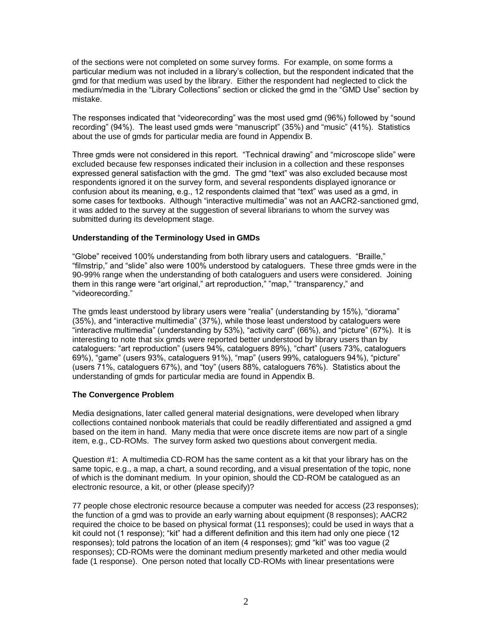of the sections were not completed on some survey forms. For example, on some forms a particular medium was not included in a library's collection, but the respondent indicated that the gmd for that medium was used by the library. Either the respondent had neglected to click the medium/media in the "Library Collections" section or clicked the gmd in the "GMD Use" section by mistake.

The responses indicated that "videorecording" was the most used gmd (96%) followed by "sound recording" (94%). The least used gmds were "manuscript" (35%) and "music" (41%). Statistics about the use of gmds for particular media are found in Appendix B.

Three gmds were not considered in this report. "Technical drawing" and "microscope slide" were excluded because few responses indicated their inclusion in a collection and these responses expressed general satisfaction with the gmd. The gmd "text" was also excluded because most respondents ignored it on the survey form, and several respondents displayed ignorance or confusion about its meaning, e.g., 12 respondents claimed that "text" was used as a gmd, in some cases for textbooks. Although "interactive multimedia" was not an AACR2-sanctioned gmd, it was added to the survey at the suggestion of several librarians to whom the survey was submitted during its development stage.

#### **Understanding of the Terminology Used in GMDs**

"Globe" received 100% understanding from both library users and cataloguers. "Braille," "filmstrip," and "slide" also were 100% understood by cataloguers. These three gmds were in the 90-99% range when the understanding of both cataloguers and users were considered. Joining them in this range were "art original," art reproduction," "map," "transparency," and "videorecording."

The gmds least understood by library users were "realia" (understanding by 15%), "diorama" (35%), and "interactive multimedia" (37%), while those least understood by cataloguers were "interactive multimedia" (understanding by 53%), "activity card" (66%), and "picture" (67%). It is interesting to note that six gmds were reported better understood by library users than by cataloguers: "art reproduction" (users 94%, cataloguers 89%), "chart" (users 73%, cataloguers 69%), "game" (users 93%, cataloguers 91%), "map" (users 99%, cataloguers 94%), "picture" (users 71%, cataloguers 67%), and "toy" (users 88%, cataloguers 76%). Statistics about the understanding of gmds for particular media are found in Appendix B.

### **The Convergence Problem**

Media designations, later called general material designations, were developed when library collections contained nonbook materials that could be readily differentiated and assigned a gmd based on the item in hand. Many media that were once discrete items are now part of a single item, e.g., CD-ROMs. The survey form asked two questions about convergent media.

Question #1: A multimedia CD-ROM has the same content as a kit that your library has on the same topic, e.g., a map, a chart, a sound recording, and a visual presentation of the topic, none of which is the dominant medium. In your opinion, should the CD-ROM be catalogued as an electronic resource, a kit, or other (please specify)?

77 people chose electronic resource because a computer was needed for access (23 responses); the function of a gmd was to provide an early warning about equipment (8 responses); AACR2 required the choice to be based on physical format (11 responses); could be used in ways that a kit could not (1 response); "kit" had a different definition and this item had only one piece (12 responses); told patrons the location of an item (4 responses); gmd "kit" was too vague (2 responses); CD-ROMs were the dominant medium presently marketed and other media would fade (1 response). One person noted that locally CD-ROMs with linear presentations were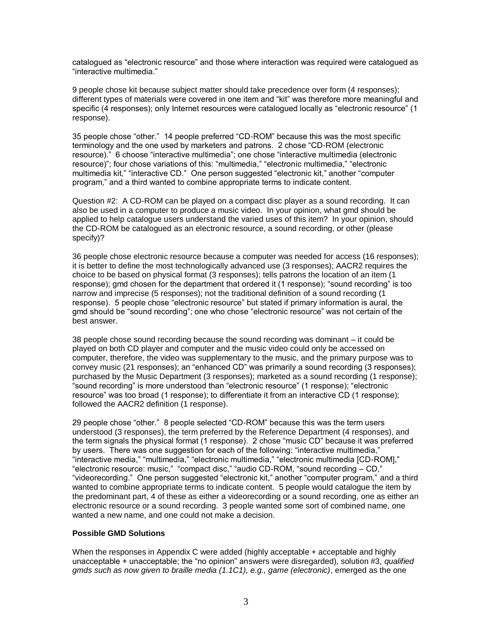catalogued as "electronic resource" and those where interaction was required were catalogued as "interactive multimedia."

9 people chose kit because subject matter should take precedence over form (4 responses); different types of materials were covered in one item and "kit" was therefore more meaningful and specific (4 responses); only Internet resources were catalogued locally as "electronic resource" (1 response).

35 people chose "other." 14 people preferred "CD-ROM" because this was the most specific terminology and the one used by marketers and patrons. 2 chose "CD-ROM (electronic resource)." 6 choose "interactive multimedia"; one chose "interactive multimedia (electronic resource)"; four chose variations of this: "multimedia," "electronic multimedia," "electronic multimedia kit," "interactive CD." One person suggested "electronic kit," another "computer program," and a third wanted to combine appropriate terms to indicate content.

Question #2: A CD-ROM can be played on a compact disc player as a sound recording. It can also be used in a computer to produce a music video. In your opinion, what gmd should be applied to help catalogue users understand the varied uses of this item? In your opinion, should the CD-ROM be catalogued as an electronic resource, a sound recording, or other (please specify)?

36 people chose electronic resource because a computer was needed for access (16 responses); it is better to define the most technologically advanced use (3 responses); AACR2 requires the choice to be based on physical format (3 responses); tells patrons the location of an item (1 response): gmd chosen for the department that ordered it (1 response); "sound recording" is too narrow and imprecise (5 responses); not the traditional definition of a sound recording (1 response). 5 people chose "electronic resource" but stated if primary information is aural, the gmd should be "sound recording"; one who chose "electronic resource" was not certain of the best answer.

38 people chose sound recording because the sound recording was dominant – it could be played on both CD player and computer and the music video could only be accessed on computer, therefore, the video was supplementary to the music, and the primary purpose was to convey music (21 responses); an "enhanced CD" was primarily a sound recording (3 responses); purchased by the Music Department (3 responses); marketed as a sound recording (1 response); "sound recording" is more understood than "electronic resource" (1 response); "electronic resource" was too broad (1 response); to differentiate it from an interactive CD (1 response); followed the AACR2 definition (1 response).

29 people chose "other." 8 people selected "CD-ROM" because this was the term users understood (3 responses), the term preferred by the Reference Department (4 responses), and the term signals the physical format (1 response). 2 chose "music CD" because it was preferred by users. There was one suggestion for each of the following: "interactive multimedia," "interactive media," "multimedia," "electronic multimedia," "electronic multimedia [CD-ROM]," "electronic resource: music," "compact disc," "audio CD-ROM, "sound recording – CD," "videorecording." One person suggested "electronic kit," another "computer program," and a third wanted to combine appropriate terms to indicate content. 5 people would catalogue the item by the predominant part, 4 of these as either a videorecording or a sound recording, one as either an electronic resource or a sound recording. 3 people wanted some sort of combined name, one wanted a new name, and one could not make a decision.

#### **Possible GMD Solutions**

When the responses in Appendix C were added (highly acceptable + acceptable and highly unacceptable + unacceptable; the "no opinion" answers were disregarded), solution #3, *qualified gmds such as now given to braille media (1.1C1), e.g., game (electronic)*, emerged as the one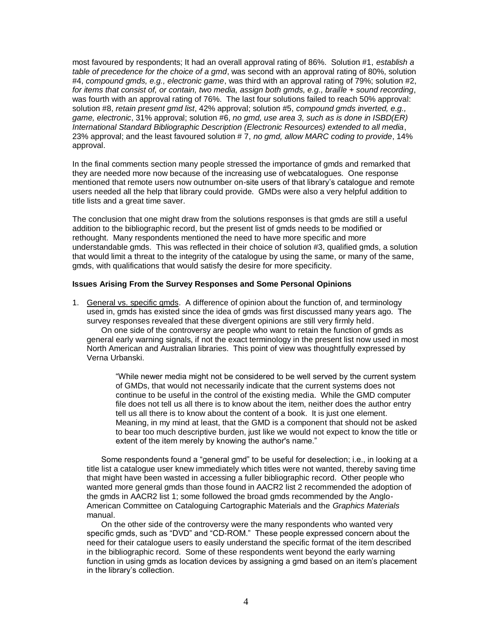most favoured by respondents; It had an overall approval rating of 86%. Solution #1, *establish a table of precedence for the choice of a gmd*, was second with an approval rating of 80%, solution #4, *compound gmds, e.g., electronic game*, was third with an approval rating of 79%; solution #2, *for items that consist of, or contain, two media, assign both gmds, e.g., braille + sound recording*, was fourth with an approval rating of 76%. The last four solutions failed to reach 50% approval: solution #8, *retain present gmd list*, 42% approval; solution #5, *compound gmds inverted, e.g., game, electronic*, 31% approval; solution #6, *no gmd, use area 3, such as is done in ISBD(ER) International Standard Bibliographic Description (Electronic Resources) extended to all media*, 23% approval; and the least favoured solution # 7, *no gmd, allow MARC coding to provide*, 14% approval.

In the final comments section many people stressed the importance of gmds and remarked that they are needed more now because of the increasing use of webcatalogues. One response mentioned that remote users now outnumber on-site users of that library's catalogue and remote users needed all the help that library could provide. GMDs were also a very helpful addition to title lists and a great time saver.

The conclusion that one might draw from the solutions responses is that gmds are still a useful addition to the bibliographic record, but the present list of gmds needs to be modified or rethought. Many respondents mentioned the need to have more specific and more understandable gmds. This was reflected in their choice of solution #3, qualified gmds, a solution that would limit a threat to the integrity of the catalogue by using the same, or many of the same, gmds, with qualifications that would satisfy the desire for more specificity.

#### **Issues Arising From the Survey Responses and Some Personal Opinions**

1. General vs. specific gmds. A difference of opinion about the function of, and terminology used in, gmds has existed since the idea of gmds was first discussed many years ago. The survey responses revealed that these divergent opinions are still very firmly held.

On one side of the controversy are people who want to retain the function of gmds as general early warning signals, if not the exact terminology in the present list now used in most North American and Australian libraries. This point of view was thoughtfully expressed by Verna Urbanski.

"While newer media might not be considered to be well served by the current system of GMDs, that would not necessarily indicate that the current systems does not continue to be useful in the control of the existing media. While the GMD computer file does not tell us all there is to know about the item, neither does the author entry tell us all there is to know about the content of a book. It is just one element. Meaning, in my mind at least, that the GMD is a component that should not be asked to bear too much descriptive burden, just like we would not expect to know the title or extent of the item merely by knowing the author's name."

Some respondents found a "general gmd" to be useful for deselection; i.e., in looking at a title list a catalogue user knew immediately which titles were not wanted, thereby saving time that might have been wasted in accessing a fuller bibliographic record. Other people who wanted more general gmds than those found in AACR2 list 2 recommended the adoption of the gmds in AACR2 list 1; some followed the broad gmds recommended by the Anglo-American Committee on Cataloguing Cartographic Materials and the *Graphics Materials* manual.

On the other side of the controversy were the many respondents who wanted very specific gmds, such as "DVD" and "CD-ROM." These people expressed concern about the need for their catalogue users to easily understand the specific format of the item described in the bibliographic record. Some of these respondents went beyond the early warning function in using gmds as location devices by assigning a gmd based on an item's placement in the library's collection.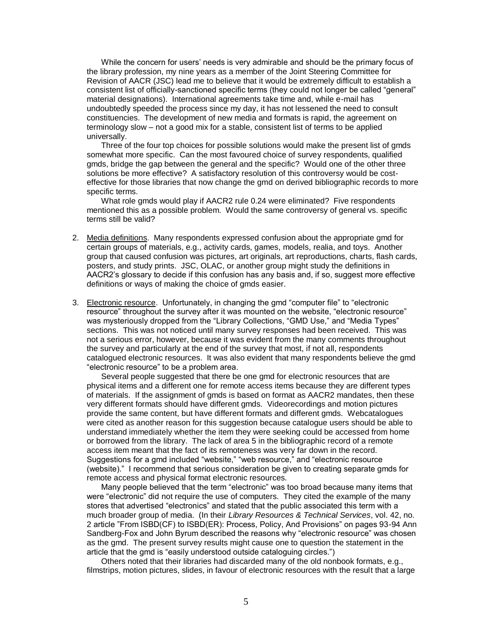While the concern for users' needs is very admirable and should be the primary focus of the library profession, my nine years as a member of the Joint Steering Committee for Revision of AACR (JSC) lead me to believe that it would be extremely difficult to establish a consistent list of officially-sanctioned specific terms (they could not longer be called "general" material designations). International agreements take time and, while e-mail has undoubtedly speeded the process since my day, it has not lessened the need to consult constituencies. The development of new media and formats is rapid, the agreement on terminology slow – not a good mix for a stable, consistent list of terms to be applied universally.

Three of the four top choices for possible solutions would make the present list of gmds somewhat more specific. Can the most favoured choice of survey respondents, qualified gmds, bridge the gap between the general and the specific? Would one of the other three solutions be more effective? A satisfactory resolution of this controversy would be costeffective for those libraries that now change the gmd on derived bibliographic records to more specific terms.

What role gmds would play if AACR2 rule 0.24 were eliminated? Five respondents mentioned this as a possible problem. Would the same controversy of general vs. specific terms still be valid?

- 2. Media definitions. Many respondents expressed confusion about the appropriate gmd for certain groups of materials, e.g., activity cards, games, models, realia, and toys. Another group that caused confusion was pictures, art originals, art reproductions, charts, flash cards, posters, and study prints. JSC, OLAC, or another group might study the definitions in AACR2's glossary to decide if this confusion has any basis and, if so, suggest more effective definitions or ways of making the choice of gmds easier.
- 3. Electronic resource. Unfortunately, in changing the gmd "computer file" to "electronic resource" throughout the survey after it was mounted on the website, "electronic resource" was mysteriously dropped from the "Library Collections, "GMD Use," and "Media Types" sections. This was not noticed until many survey responses had been received. This was not a serious error, however, because it was evident from the many comments throughout the survey and particularly at the end of the survey that most, if not all, respondents catalogued electronic resources. It was also evident that many respondents believe the gmd "electronic resource" to be a problem area.

Several people suggested that there be one gmd for electronic resources that are physical items and a different one for remote access items because they are different types of materials. If the assignment of gmds is based on format as AACR2 mandates, then these very different formats should have different gmds. Videorecordings and motion pictures provide the same content, but have different formats and different gmds. Webcatalogues were cited as another reason for this suggestion because catalogue users should be able to understand immediately whether the item they were seeking could be accessed from home or borrowed from the library. The lack of area 5 in the bibliographic record of a remote access item meant that the fact of its remoteness was very far down in the record. Suggestions for a gmd included "website," "web resource," and "electronic resource (website)." I recommend that serious consideration be given to creating separate gmds for remote access and physical format electronic resources.

Many people believed that the term "electronic" was too broad because many items that were "electronic" did not require the use of computers. They cited the example of the many stores that advertised "electronics" and stated that the public associated this term with a much broader group of media. (In their *Library Resources & Technical Services*, vol. 42, no. 2 article "From ISBD(CF) to ISBD(ER): Process, Policy, And Provisions" on pages 93-94 Ann Sandberg-Fox and John Byrum described the reasons why "electronic resource" was chosen as the gmd. The present survey results might cause one to question the statement in the article that the gmd is "easily understood outside cataloguing circles.")

Others noted that their libraries had discarded many of the old nonbook formats, e.g., filmstrips, motion pictures, slides, in favour of electronic resources with the result that a large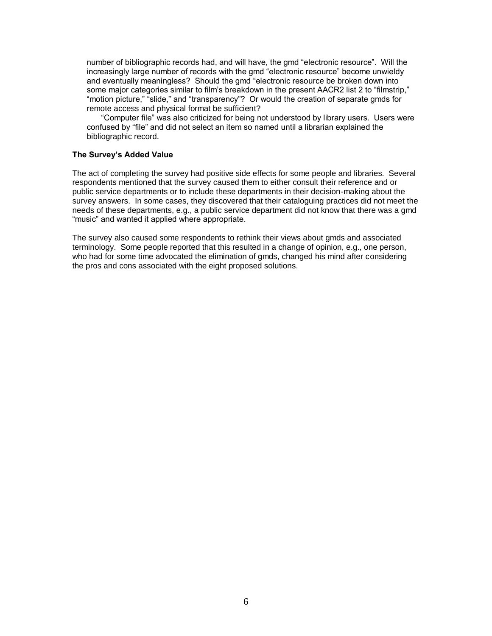number of bibliographic records had, and will have, the gmd "electronic resource". Will the increasingly large number of records with the gmd "electronic resource" become unwieldy and eventually meaningless? Should the gmd "electronic resource be broken down into some major categories similar to film's breakdown in the present AACR2 list 2 to "filmstrip," "motion picture," "slide," and "transparency"? Or would the creation of separate gmds for remote access and physical format be sufficient?

"Computer file" was also criticized for being not understood by library users. Users were confused by "file" and did not select an item so named until a librarian explained the bibliographic record.

#### **The Survey's Added Value**

The act of completing the survey had positive side effects for some people and libraries. Several respondents mentioned that the survey caused them to either consult their reference and or public service departments or to include these departments in their decision-making about the survey answers. In some cases, they discovered that their cataloguing practices did not meet the needs of these departments, e.g., a public service department did not know that there was a gmd "music" and wanted it applied where appropriate.

The survey also caused some respondents to rethink their views about gmds and associated terminology. Some people reported that this resulted in a change of opinion, e.g., one person, who had for some time advocated the elimination of gmds, changed his mind after considering the pros and cons associated with the eight proposed solutions.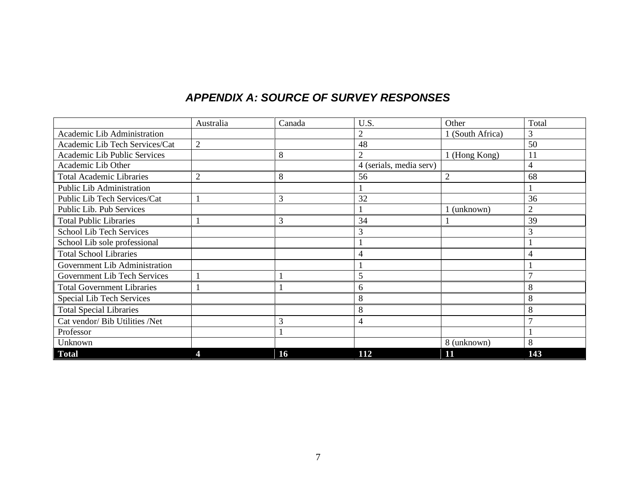# *APPENDIX A: SOURCE OF SURVEY RESPONSES*

|                                   | Australia      | Canada | U.S.                    | Other            | Total          |
|-----------------------------------|----------------|--------|-------------------------|------------------|----------------|
| Academic Lib Administration       |                |        | 2                       | 1 (South Africa) | 3              |
| Academic Lib Tech Services/Cat    | $\overline{2}$ |        | 48                      |                  | 50             |
| Academic Lib Public Services      |                | 8      |                         | 1 (Hong Kong)    | 11             |
| Academic Lib Other                |                |        | 4 (serials, media serv) |                  | 4              |
| <b>Total Academic Libraries</b>   | $\overline{2}$ | 8      | 56                      | $\overline{2}$   | 68             |
| Public Lib Administration         |                |        |                         |                  |                |
| Public Lib Tech Services/Cat      |                | 3      | 32                      |                  | 36             |
| Public Lib. Pub Services          |                |        |                         | 1 (unknown)      | $\overline{2}$ |
| <b>Total Public Libraries</b>     |                | 3      | 34                      |                  | 39             |
| <b>School Lib Tech Services</b>   |                |        | 3                       |                  | 3              |
| School Lib sole professional      |                |        |                         |                  |                |
| <b>Total School Libraries</b>     |                |        | 4                       |                  | 4              |
| Government Lib Administration     |                |        |                         |                  |                |
| Government Lib Tech Services      |                |        | 5                       |                  | $\mathbf{r}$   |
| <b>Total Government Libraries</b> |                |        | 6                       |                  | 8              |
| Special Lib Tech Services         |                |        | 8                       |                  | 8              |
| <b>Total Special Libraries</b>    |                |        | 8                       |                  | 8              |
| Cat vendor/ Bib Utilities /Net    |                | 3      | 4                       |                  |                |
| Professor                         |                |        |                         |                  |                |
| Unknown                           |                |        |                         | 8 (unknown)      | 8              |
| <b>Total</b>                      |                | 16     | 112                     | 11               | 143            |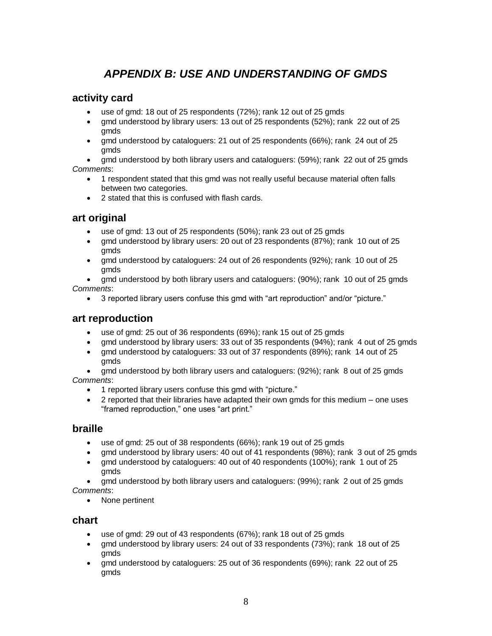# *APPENDIX B: USE AND UNDERSTANDING OF GMDS*

# **activity card**

- use of gmd: 18 out of 25 respondents (72%); rank 12 out of 25 gmds
- gmd understood by library users: 13 out of 25 respondents (52%); rank 22 out of 25 gmds
- gmd understood by cataloguers: 21 out of 25 respondents (66%); rank 24 out of 25 gmds

 gmd understood by both library users and cataloguers: (59%); rank 22 out of 25 gmds *Comments*:

- 1 respondent stated that this gmd was not really useful because material often falls between two categories.
- 2 stated that this is confused with flash cards.

# **art original**

- use of gmd: 13 out of 25 respondents (50%); rank 23 out of 25 gmds
- gmd understood by library users: 20 out of 23 respondents (87%); rank 10 out of 25 gmds
- gmd understood by cataloguers: 24 out of 26 respondents (92%); rank 10 out of 25 gmds

 gmd understood by both library users and cataloguers: (90%); rank 10 out of 25 gmds *Comments*:

3 reported library users confuse this gmd with "art reproduction" and/or "picture."

# **art reproduction**

- use of gmd: 25 out of 36 respondents (69%); rank 15 out of 25 gmds
- gmd understood by library users: 33 out of 35 respondents (94%); rank 4 out of 25 gmds
- gmd understood by cataloguers: 33 out of 37 respondents (89%); rank 14 out of 25 gmds

• gmd understood by both library users and cataloguers: (92%); rank 8 out of 25 gmds *Comments*:

- 1 reported library users confuse this gmd with "picture."
- 2 reported that their libraries have adapted their own gmds for this medium one uses "framed reproduction," one uses "art print."

# **braille**

- use of gmd: 25 out of 38 respondents (66%); rank 19 out of 25 gmds
- gmd understood by library users: 40 out of 41 respondents (98%); rank 3 out of 25 gmds
- gmd understood by cataloguers: 40 out of 40 respondents (100%); rank 1 out of 25 gmds

 gmd understood by both library users and cataloguers: (99%); rank 2 out of 25 gmds *Comments*:

• None pertinent

# **chart**

- use of gmd: 29 out of 43 respondents (67%); rank 18 out of 25 gmds
- gmd understood by library users: 24 out of 33 respondents (73%); rank 18 out of 25 gmds
- gmd understood by cataloguers: 25 out of 36 respondents (69%); rank 22 out of 25 gmds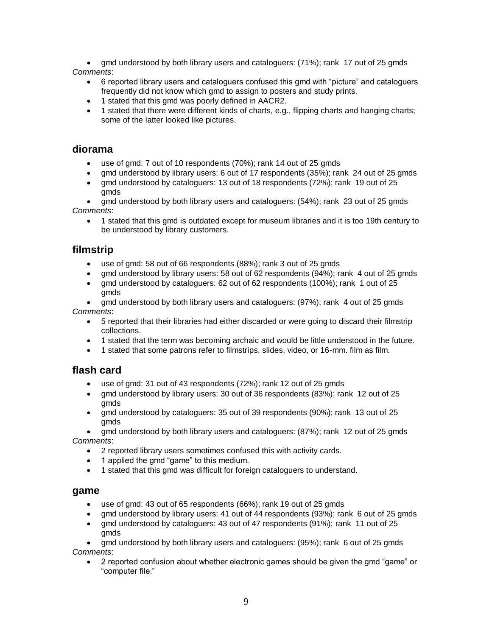gmd understood by both library users and cataloguers: (71%); rank 17 out of 25 gmds *Comments*:

- 6 reported library users and cataloguers confused this gmd with "picture" and cataloguers frequently did not know which gmd to assign to posters and study prints.
- 1 stated that this gmd was poorly defined in AACR2.
- 1 stated that there were different kinds of charts, e.g., flipping charts and hanging charts; some of the latter looked like pictures.

### **diorama**

- use of gmd: 7 out of 10 respondents (70%); rank 14 out of 25 gmds
- gmd understood by library users: 6 out of 17 respondents (35%); rank 24 out of 25 gmds
- gmd understood by cataloguers: 13 out of 18 respondents (72%); rank 19 out of 25 gmds

 gmd understood by both library users and cataloguers: (54%); rank 23 out of 25 gmds *Comments*:

 1 stated that this gmd is outdated except for museum libraries and it is too 19th century to be understood by library customers.

# **filmstrip**

- use of gmd: 58 out of 66 respondents (88%); rank 3 out of 25 gmds
- gmd understood by library users: 58 out of 62 respondents (94%); rank 4 out of 25 gmds
- gmd understood by cataloguers: 62 out of 62 respondents (100%); rank 1 out of 25 gmds

 gmd understood by both library users and cataloguers: (97%); rank 4 out of 25 gmds *Comments*:

- 5 reported that their libraries had either discarded or were going to discard their filmstrip collections.
- 1 stated that the term was becoming archaic and would be little understood in the future.
- 1 stated that some patrons refer to filmstrips, slides, video, or 16-mm. film as film.

# **flash card**

- use of gmd: 31 out of 43 respondents (72%); rank 12 out of 25 gmds
- gmd understood by library users: 30 out of 36 respondents (83%); rank 12 out of 25 gmds
- gmd understood by cataloguers: 35 out of 39 respondents (90%); rank 13 out of 25 gmds

 gmd understood by both library users and cataloguers: (87%); rank 12 out of 25 gmds *Comments*:

- 2 reported library users sometimes confused this with activity cards.
- 1 applied the gmd "game" to this medium.
- 1 stated that this gmd was difficult for foreign cataloguers to understand.

### **game**

- use of gmd: 43 out of 65 respondents (66%); rank 19 out of 25 gmds
- gmd understood by library users: 41 out of 44 respondents (93%); rank 6 out of 25 gmds
- gmd understood by cataloguers: 43 out of 47 respondents (91%); rank 11 out of 25 gmds

 gmd understood by both library users and cataloguers: (95%); rank 6 out of 25 gmds *Comments*:

 2 reported confusion about whether electronic games should be given the gmd "game" or "computer file."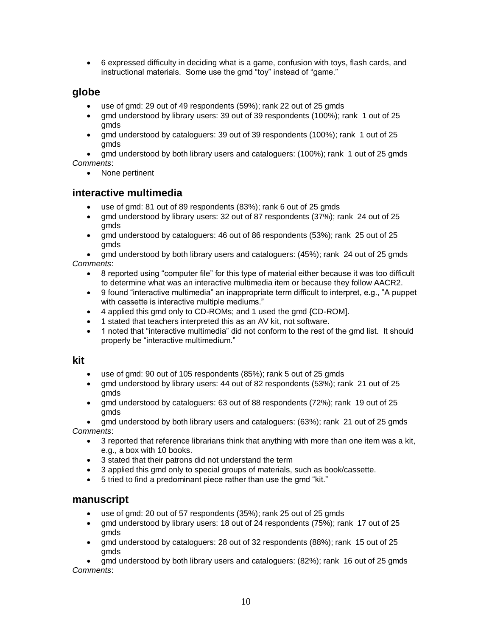6 expressed difficulty in deciding what is a game, confusion with toys, flash cards, and instructional materials. Some use the gmd "toy" instead of "game."

# **globe**

- use of gmd: 29 out of 49 respondents (59%); rank 22 out of 25 gmds
- gmd understood by library users: 39 out of 39 respondents (100%); rank 1 out of 25 gmds
- gmd understood by cataloguers: 39 out of 39 respondents (100%); rank 1 out of 25 gmds

 gmd understood by both library users and cataloguers: (100%); rank 1 out of 25 gmds *Comments*:

• None pertinent

# **interactive multimedia**

- use of gmd: 81 out of 89 respondents (83%); rank 6 out of 25 gmds
- gmd understood by library users: 32 out of 87 respondents (37%); rank 24 out of 25 gmds
- gmd understood by cataloguers: 46 out of 86 respondents (53%); rank 25 out of 25 gmds

 gmd understood by both library users and cataloguers: (45%); rank 24 out of 25 gmds *Comments*:

- 8 reported using "computer file" for this type of material either because it was too difficult to determine what was an interactive multimedia item or because they follow AACR2.
- 9 found "interactive multimedia" an inappropriate term difficult to interpret, e.g., "A puppet with cassette is interactive multiple mediums."
- 4 applied this gmd only to CD-ROMs; and 1 used the gmd {CD-ROM].
- 1 stated that teachers interpreted this as an AV kit, not software.
- 1 noted that "interactive multimedia" did not conform to the rest of the gmd list. It should properly be "interactive multimedium."

### **kit**

- use of gmd: 90 out of 105 respondents (85%); rank 5 out of 25 gmds
- gmd understood by library users: 44 out of 82 respondents (53%); rank 21 out of 25 gmds
- gmd understood by cataloguers: 63 out of 88 respondents (72%); rank 19 out of 25 gmds

 gmd understood by both library users and cataloguers: (63%); rank 21 out of 25 gmds *Comments*:

- 3 reported that reference librarians think that anything with more than one item was a kit, e.g., a box with 10 books.
- 3 stated that their patrons did not understand the term
- 3 applied this gmd only to special groups of materials, such as book/cassette.
- 5 tried to find a predominant piece rather than use the gmd "kit."

# **manuscript**

- use of gmd: 20 out of 57 respondents (35%); rank 25 out of 25 gmds
- gmd understood by library users: 18 out of 24 respondents (75%); rank 17 out of 25 gmds
- gmd understood by cataloguers: 28 out of 32 respondents (88%); rank 15 out of 25 gmds

 gmd understood by both library users and cataloguers: (82%); rank 16 out of 25 gmds *Comments*: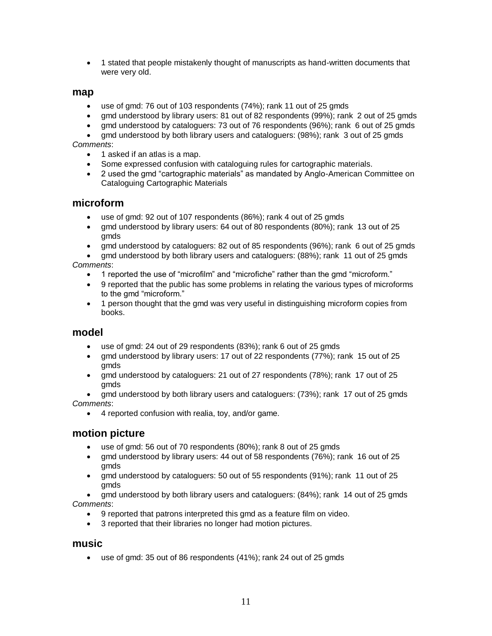1 stated that people mistakenly thought of manuscripts as hand-written documents that were very old.

### **map**

- use of gmd: 76 out of 103 respondents (74%); rank 11 out of 25 gmds
- gmd understood by library users: 81 out of 82 respondents (99%); rank 2 out of 25 gmds
- gmd understood by cataloguers: 73 out of 76 respondents (96%); rank 6 out of 25 gmds
- gmd understood by both library users and cataloguers: (98%); rank 3 out of 25 gmds *Comments*:
	- 1 asked if an atlas is a map.
	- Some expressed confusion with cataloguing rules for cartographic materials.
	- 2 used the gmd "cartographic materials" as mandated by Anglo-American Committee on Cataloguing Cartographic Materials

### **microform**

- use of gmd: 92 out of 107 respondents (86%); rank 4 out of 25 gmds
- gmd understood by library users: 64 out of 80 respondents (80%); rank 13 out of 25 gmds
- gmd understood by cataloguers: 82 out of 85 respondents (96%); rank 6 out of 25 gmds

 gmd understood by both library users and cataloguers: (88%); rank 11 out of 25 gmds *Comments*:

- 1 reported the use of "microfilm" and "microfiche" rather than the gmd "microform."
- 9 reported that the public has some problems in relating the various types of microforms to the gmd "microform."
- 1 person thought that the gmd was very useful in distinguishing microform copies from books.

### **model**

- use of gmd: 24 out of 29 respondents (83%); rank 6 out of 25 gmds
- gmd understood by library users: 17 out of 22 respondents (77%); rank 15 out of 25 gmds
- gmd understood by cataloguers: 21 out of 27 respondents (78%); rank 17 out of 25 gmds
- gmd understood by both library users and cataloguers: (73%); rank 17 out of 25 gmds *Comments*:
	- 4 reported confusion with realia, toy, and/or game.

### **motion picture**

- use of gmd: 56 out of 70 respondents (80%); rank 8 out of 25 gmds
- gmd understood by library users: 44 out of 58 respondents (76%); rank 16 out of 25 gmds
- gmd understood by cataloguers: 50 out of 55 respondents (91%); rank 11 out of 25 gmds

 gmd understood by both library users and cataloguers: (84%); rank 14 out of 25 gmds *Comments*:

- 9 reported that patrons interpreted this gmd as a feature film on video.
- 3 reported that their libraries no longer had motion pictures.

### **music**

use of gmd: 35 out of 86 respondents (41%); rank 24 out of 25 gmds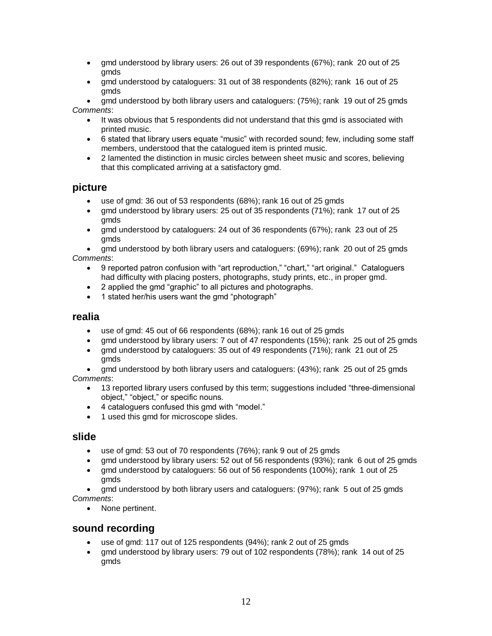- gmd understood by library users: 26 out of 39 respondents (67%); rank 20 out of 25 gmds
- gmd understood by cataloguers: 31 out of 38 respondents (82%); rank 16 out of 25 gmds
- gmd understood by both library users and cataloguers: (75%); rank 19 out of 25 gmds *Comments*:
	- It was obvious that 5 respondents did not understand that this gmd is associated with printed music.
	- 6 stated that library users equate "music" with recorded sound; few, including some staff members, understood that the catalogued item is printed music.
	- 2 lamented the distinction in music circles between sheet music and scores, believing that this complicated arriving at a satisfactory gmd.

# **picture**

- use of gmd: 36 out of 53 respondents (68%); rank 16 out of 25 gmds
- gmd understood by library users: 25 out of 35 respondents (71%); rank 17 out of 25 gmds
- gmd understood by cataloguers: 24 out of 36 respondents (67%); rank 23 out of 25 gmds

 gmd understood by both library users and cataloguers: (69%); rank 20 out of 25 gmds *Comments*:

- 9 reported patron confusion with "art reproduction," "chart," "art original." Cataloguers had difficulty with placing posters, photographs, study prints, etc., in proper gmd.
- 2 applied the gmd "graphic" to all pictures and photographs.
- 1 stated her/his users want the gmd "photograph"

### **realia**

- use of gmd: 45 out of 66 respondents (68%); rank 16 out of 25 gmds
- gmd understood by library users: 7 out of 47 respondents (15%); rank 25 out of 25 gmds
- gmd understood by cataloguers: 35 out of 49 respondents (71%); rank 21 out of 25 gmds

 gmd understood by both library users and cataloguers: (43%); rank 25 out of 25 gmds *Comments*:

- 13 reported library users confused by this term; suggestions included "three-dimensional object," "object," or specific nouns.
- 4 cataloguers confused this gmd with "model."
- 1 used this gmd for microscope slides.

### **slide**

- use of gmd: 53 out of 70 respondents (76%); rank 9 out of 25 gmds
- gmd understood by library users: 52 out of 56 respondents (93%); rank 6 out of 25 gmds
- gmd understood by cataloguers: 56 out of 56 respondents (100%); rank 1 out of 25 gmds

 gmd understood by both library users and cataloguers: (97%); rank 5 out of 25 gmds *Comments*:

• None pertinent.

# **sound recording**

- use of gmd: 117 out of 125 respondents (94%); rank 2 out of 25 gmds
- gmd understood by library users: 79 out of 102 respondents (78%); rank 14 out of 25 gmds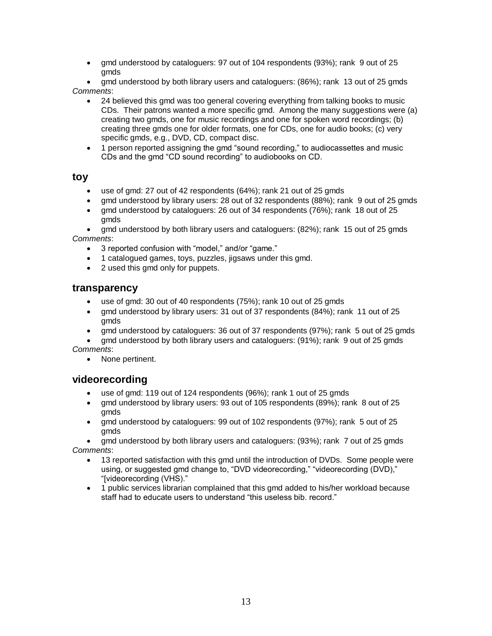gmd understood by cataloguers: 97 out of 104 respondents (93%); rank 9 out of 25 gmds

 gmd understood by both library users and cataloguers: (86%); rank 13 out of 25 gmds *Comments*:

- 24 believed this gmd was too general covering everything from talking books to music CDs. Their patrons wanted a more specific gmd. Among the many suggestions were (a) creating two gmds, one for music recordings and one for spoken word recordings; (b) creating three gmds one for older formats, one for CDs, one for audio books; (c) very specific gmds, e.g., DVD, CD, compact disc.
- 1 person reported assigning the gmd "sound recording," to audiocassettes and music CDs and the gmd "CD sound recording" to audiobooks on CD.

### **toy**

- use of gmd: 27 out of 42 respondents (64%); rank 21 out of 25 gmds
- gmd understood by library users: 28 out of 32 respondents (88%); rank 9 out of 25 gmds
- gmd understood by cataloguers: 26 out of 34 respondents (76%); rank 18 out of 25 gmds

 gmd understood by both library users and cataloguers: (82%); rank 15 out of 25 gmds *Comments*:

- 3 reported confusion with "model," and/or "game."
- 1 catalogued games, toys, puzzles, jigsaws under this gmd.
- 2 used this gmd only for puppets.

### **transparency**

- use of gmd: 30 out of 40 respondents (75%); rank 10 out of 25 gmds
- gmd understood by library users: 31 out of 37 respondents (84%); rank 11 out of 25 gmds
- gmd understood by cataloguers: 36 out of 37 respondents (97%); rank 5 out of 25 gmds
- gmd understood by both library users and cataloguers: (91%); rank 9 out of 25 gmds *Comments*:
	- None pertinent.

# **videorecording**

- use of gmd: 119 out of 124 respondents (96%); rank 1 out of 25 gmds
- gmd understood by library users: 93 out of 105 respondents (89%); rank 8 out of 25 gmds
- gmd understood by cataloguers: 99 out of 102 respondents (97%); rank 5 out of 25 gmds

 gmd understood by both library users and cataloguers: (93%); rank 7 out of 25 gmds *Comments*:

- 13 reported satisfaction with this gmd until the introduction of DVDs. Some people were using, or suggested gmd change to, "DVD videorecording," "videorecording (DVD)," "[videorecording (VHS)."
- 1 public services librarian complained that this gmd added to his/her workload because staff had to educate users to understand "this useless bib. record."